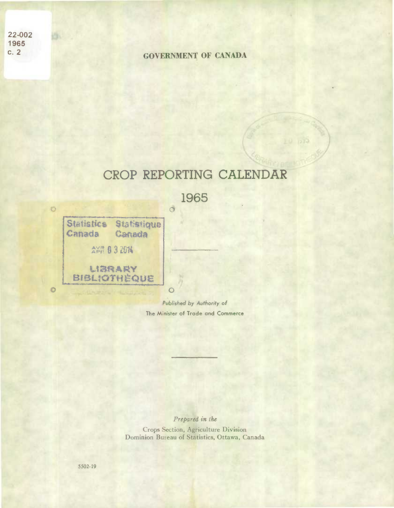**22-002 1965** 

#### **c. 2 GOVERNMENT OF CANADA**

## CROP REPORTING CALENDAR

10 1525

| Ó |                                                      | 1965<br>O |
|---|------------------------------------------------------|-----------|
|   | <b>Statistics</b><br>Statistique<br>Canada<br>Canada |           |
|   | <b>会常 8 3 2014</b>                                   |           |
|   | LIBRARY<br><b>BIBLIOTHEQUE</b>                       |           |
|   |                                                      |           |

*Published by Authority of*  **The Minister of Trade and Commerce** 

*Prepared in Ihe*  Crops Section, Agriculture Division Dominion Bureau of Statistics, Ottawa, Canada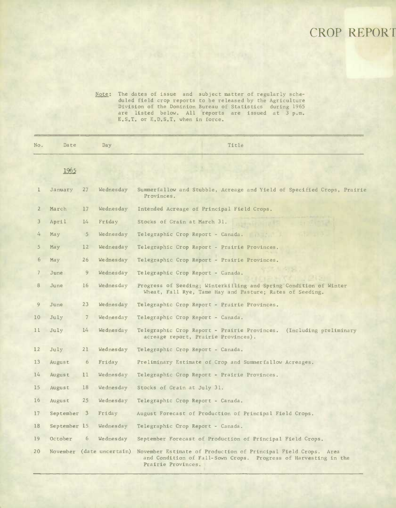### CROP REPORT

Note: The dates of issue and subject matter of regularly scheduled field crop reports to be released by the Agriculture Division of the Dominion Bureau of Statistics during 1965 are listed below. All reports are issued at 3 p.m. E.S.T. or E.D.S.T. when in force.

| No.             | Date         |    | Day                       | Title                                                                                                                                                   |
|-----------------|--------------|----|---------------------------|---------------------------------------------------------------------------------------------------------------------------------------------------------|
|                 | 1965         |    |                           |                                                                                                                                                         |
| ı               | January      | 27 | Wednesday                 | Summerfallow and Stubble, Acreage and Yield of Specified Crops, Prairie<br>Provinces.                                                                   |
| 2               | March        | 17 | Wednesday                 | Intended Acreage of Principal Field Crops.                                                                                                              |
| 3               | April        | 14 | Friday                    | Stocks of Grain at March 31.                                                                                                                            |
| 4               | May          | 5  | Wednesday                 | Telegraphic Crop Report - Canada.<br><b>The Second</b>                                                                                                  |
| 5               | May          | 12 | Wednesday                 | Telegraphic Crop Report - Prairie Provinces.                                                                                                            |
| 6               | May          | 26 | Wednesday                 | Telegraphic Crop Report - Prairie Provinces.                                                                                                            |
| $7\phantom{.}$  | June         | 9  | Wednesday                 | Telegraphic Crop Report - Canada.                                                                                                                       |
| 8               | June         | 16 | Wednesday                 | Progress of Seeding; Winterkilling and Spring Condition of Winter<br>Wheat, Fall Rye, Tame Hay and Pasture; Rates of Seeding.                           |
| 9               | June         | 23 | Wednesday                 | Telegraphic Crop Report - Prairie Provinces.                                                                                                            |
| 10              | July         | 7  | Wednesday                 | Telegraphic Crop Report - Canada.                                                                                                                       |
| 11              | July         | 14 | Wednesday                 | Telegraphic Crop Report - Prairie Provinces.<br>(Including preliminary<br>acreage report, Prairie Provinces).                                           |
| 12              | July         | 21 | Wednesday                 | Telegraphic Crop Report - Canada.                                                                                                                       |
| 13              | August       | 6  | Friday                    | Preliminary Estimate of Crop and Summerfallow Acreages.                                                                                                 |
| 14              | August       | 11 | Wednesday                 | Telegraphic Crop Report - Prairie Provinces.                                                                                                            |
| 15 <sup>5</sup> | August       | 18 | Wednesday                 | Stocks of Grain at July 31.                                                                                                                             |
| 16              | August       | 25 | Wednesday                 | Telegraphic Crop Report - Canada.                                                                                                                       |
| 17              | September 3  |    | Friday                    | August Forecast of Production of Principal Field Crops.                                                                                                 |
| 18              | September 15 |    | Wednesday                 | Telegraphic Crop Report - Canada.                                                                                                                       |
| 19              | October      | 6  | Wednesday                 | September Forecast of Production of Principal Field Crops.                                                                                              |
| 20              |              |    | November (date uncertain) | November Estimate of Production of Principal Field Crops. Area<br>and Condition of Fall-Sown Crops. Progress of Harvesting in the<br>Prairie Provinces. |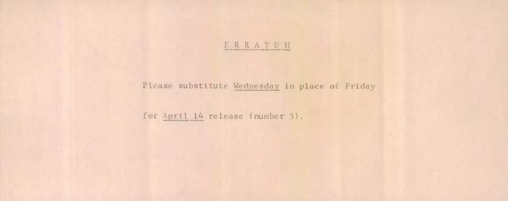

#### Please substitute Wednesday in place of Friday

for April 14 release (number 3).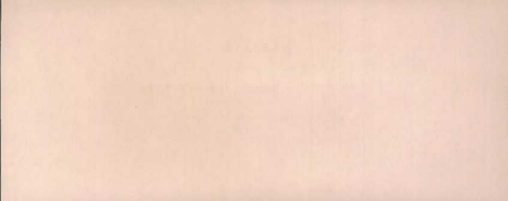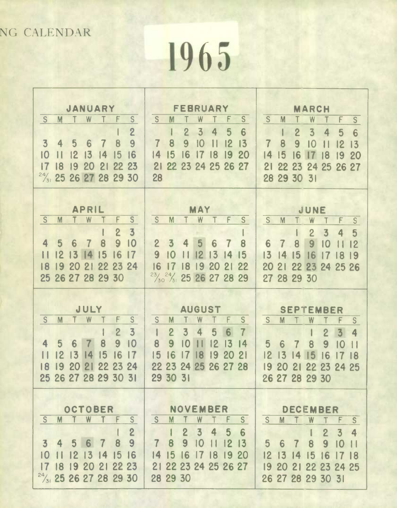# NG CALENDAR

1965

| <b>JANUARY</b>                                     | <b>FEBRUARY</b>                                               | <b>MARCH</b>                                        |
|----------------------------------------------------|---------------------------------------------------------------|-----------------------------------------------------|
| S<br>S<br>M<br>W<br>F                              | S<br>S.<br>W<br>F<br>M                                        | S<br>M<br>W<br>S.<br>F                              |
| $\overline{2}$                                     | $\overline{3}$<br>$\overline{2}$<br>6<br>5<br>4               | 3<br>$\overline{2}$<br>6<br>5<br>4                  |
| 3 <sup>1</sup><br>5<br>9<br>8<br>4<br>6<br>7       | $\overline{7}$<br>8<br>9<br>12<br>13<br>IO                    | $\mathbf{7}$<br>8<br>9<br>13<br>10<br>12            |
| 10<br>13<br>15<br> 6<br>12<br>14                   | 20<br>16<br>19<br>15<br>18<br>14                              | 15<br>16<br>14<br>20<br>18<br>19                    |
| 17<br>18<br>22<br>23<br>19<br>20<br>$\overline{2}$ | 26<br>$22 \overline{)}$<br>23 24 25<br><b>27</b><br>21        | 22<br>23<br>25<br>21<br>24<br>26 27                 |
|                                                    |                                                               |                                                     |
| $\frac{24}{3}$ 25<br>26 27 28 29 30                | 28                                                            | 29 30<br>31<br>28                                   |
|                                                    |                                                               |                                                     |
| <b>APRIL</b>                                       | <b>MAY</b>                                                    | JUNE                                                |
| S<br>S<br>M<br>F<br>W                              | S<br>M<br>T<br>F<br>S<br>W                                    | S<br>M<br>S<br>W<br>F                               |
| $\overline{2}$<br>3                                |                                                               | 4<br>5<br>$\overline{\mathbf{3}}$<br>$\overline{2}$ |
| 5<br>10<br>9<br>8<br>4<br>6                        | $\overline{2}$<br>$\overline{\mathbf{3}}$<br>5<br>4<br>6<br>8 | 6<br>8<br>9<br>7<br>12<br>IO                        |
| 12<br>13<br>5<br>17<br>16<br>14                    | 9<br>3<br>15<br>10<br>14                                      | 13<br>5<br>19<br>14<br>16<br>8<br>17                |
| 23<br>24<br>9<br>22<br>18<br>20<br>2               | 21<br>22<br>16<br>9<br>20<br>8                                | 23<br>24<br>20<br>21<br>22<br>25 26                 |
| 25 26 27 28 29 30                                  | $\frac{23}{30}$ $\frac{24}{31}$<br>25 26 27<br>28<br>29       |                                                     |
|                                                    |                                                               | 27 28 29 30                                         |
|                                                    |                                                               |                                                     |
|                                                    |                                                               |                                                     |
| JULY                                               | <b>AUGUST</b>                                                 | <b>SEPTEMBER</b>                                    |
| S<br>S<br>M<br>F<br>W                              | S<br>S<br>M<br>W<br>$F_{\perp}$<br>T<br>Т                     | S<br>M<br>W<br>S<br>F                               |
| 3<br>$\overline{2}$                                | 3<br>$\overline{2}$<br>4<br>5<br>6<br>$\mathbf{I}$            | $\overline{2}$<br>3<br>4                            |
| $\overline{10}$<br>5<br>9<br>6<br>8<br>4           | 12<br>8<br>13<br>9<br>14                                      | 5<br>6<br>8<br>9                                    |
| 12<br>3<br>5<br>6<br>17<br>14                      | 15<br>20<br>19<br>21<br>6                                     | 12<br>3<br>6<br>18                                  |
| 9<br>22<br>23<br>24<br>20<br>2<br>18               | 23<br>24<br>25<br>26<br>27 28<br>22                           | 20<br>22<br>24<br>19<br>25                          |
| 3 <sub>l</sub>                                     |                                                               | 23                                                  |
| 29<br>25.<br>26<br>27 28<br>30                     | 31<br>29 30                                                   | 26 27 28<br>29 30                                   |
|                                                    |                                                               |                                                     |
| <b>OCTOBER</b>                                     | <b>NOVEMBER</b>                                               | <b>DECEMBER</b>                                     |
| S<br>M<br>W<br>S<br>F                              | S<br>M<br>S<br>W<br>F                                         | S<br>M<br>S<br>W<br>F                               |
| $\overline{2}$                                     | $\overline{2}$<br>3<br>5<br>4<br>6                            | 4<br>$\overline{3}$<br>$\overline{2}$               |
| 9<br>8<br>$\overline{\mathbf{3}}$<br>5<br>4<br>6   | 9<br>$\overline{2}$<br>8<br>$\bf{0}$<br>13                    | 5<br>9<br>8<br>10<br>6                              |
| 16<br>5<br>.5<br>4                                 | 20<br>9<br>6<br>5<br>14                                       | 12<br>5<br>3<br>8<br>6                              |
| 22<br>23<br>8<br>9<br>20<br>21                     | 23<br>24 25<br>26 27<br>22<br>21                              | 23<br>24<br>19<br>20<br>$2\vert$<br>22              |
| $\frac{24}{31}$ 25<br>26 27 28 29 30               | 28 29 30                                                      | 25<br>27 28 29<br>30 31<br>26                       |